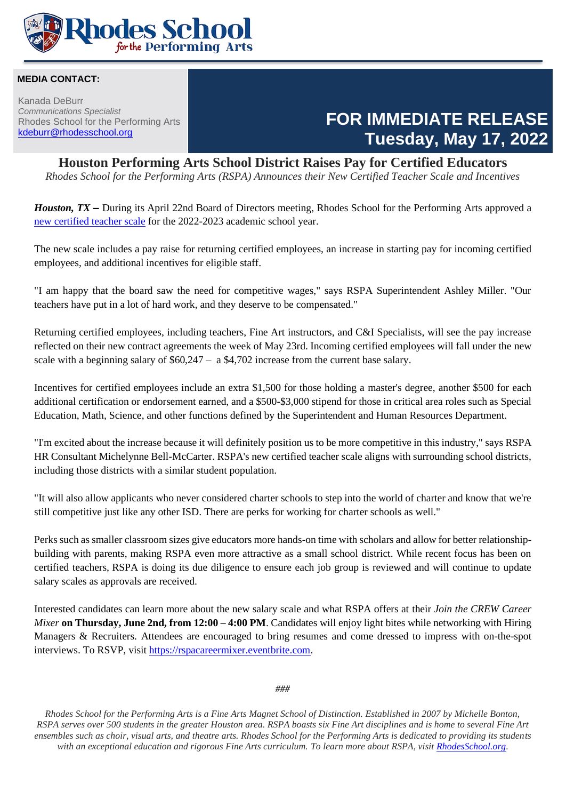

#### **MEDIA CONTACT:**

Kanada DeBurr *Communications Specialist* Rhodes School for the Performing Arts [kdeburr@rhodesschool.org](mailto:kdeburr@rhodesschool.org)

### **FOR IMMEDIATE RELEASE Tuesday, May 17, 2022**

#### **Houston Performing Arts School District Raises Pay for Certified Educators**

*Rhodes School for the Performing Arts (RSPA) Announces their New Certified Teacher Scale and Incentives*

*Houston, TX –* During its April 22nd Board of Directors meeting, Rhodes School for the Performing Arts approved a [new certified teacher scale](../Human%20Resources/2022-2023%20Salary%20Scale.pdf) for the 2022-2023 academic school year.

The new scale includes a pay raise for returning certified employees, an increase in starting pay for incoming certified employees, and additional incentives for eligible staff.

"I am happy that the board saw the need for competitive wages," says RSPA Superintendent Ashley Miller. "Our teachers have put in a lot of hard work, and they deserve to be compensated."

Returning certified employees, including teachers, Fine Art instructors, and C&I Specialists, will see the pay increase reflected on their new contract agreements the week of May 23rd. Incoming certified employees will fall under the new scale with a beginning salary of  $$60,247 - a $4,702$  increase from the current base salary.

Incentives for certified employees include an extra \$1,500 for those holding a master's degree, another \$500 for each additional certification or endorsement earned, and a \$500-\$3,000 stipend for those in critical area roles such as Special Education, Math, Science, and other functions defined by the Superintendent and Human Resources Department.

"I'm excited about the increase because it will definitely position us to be more competitive in this industry," says RSPA HR Consultant Michelynne Bell-McCarter. RSPA's new certified teacher scale aligns with surrounding school districts, including those districts with a similar student population.

"It will also allow applicants who never considered charter schools to step into the world of charter and know that we're still competitive just like any other ISD. There are perks for working for charter schools as well."

Perks such as smaller classroom sizes give educators more hands-on time with scholars and allow for better relationshipbuilding with parents, making RSPA even more attractive as a small school district. While recent focus has been on certified teachers, RSPA is doing its due diligence to ensure each job group is reviewed and will continue to update salary scales as approvals are received.

Interested candidates can learn more about the new salary scale and what RSPA offers at their *Join the CREW Career Mixer* **on Thursday, June 2nd, from 12:00 – 4:00 PM**. Candidates will enjoy light bites while networking with Hiring Managers & Recruiters. Attendees are encouraged to bring resumes and come dressed to impress with on-the-spot interviews. To RSVP, visit [https://rspacareermixer.eventbrite.com.](https://rspacareermixer.eventbrite.com/)

*###*

*Rhodes School for the Performing Arts is a Fine Arts Magnet School of Distinction. Established in 2007 by Michelle Bonton, RSPA serves over 500 students in the greater Houston area. RSPA boasts six Fine Art disciplines and is home to several Fine Art ensembles such as choir, visual arts, and theatre arts. Rhodes School for the Performing Arts is dedicated to providing its students with an exceptional education and rigorous Fine Arts curriculum. To learn more about RSPA, visit [RhodesSchool.org.](file:///C:/Users/kdeburr/Documents/COMMUNICATIONS/Press%20Releases/rhodesschool.org)*